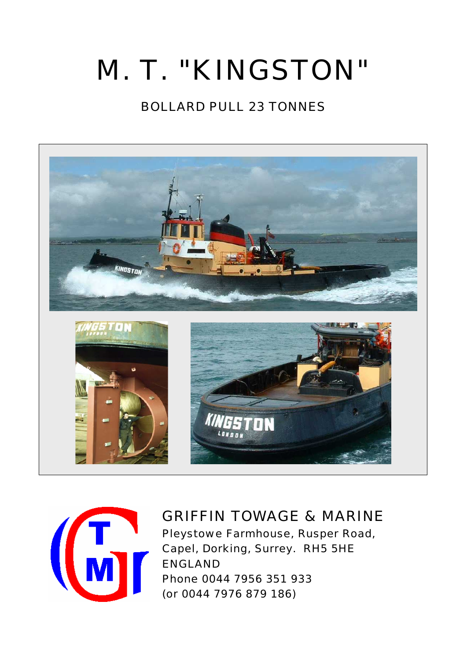# M. T. "KINGSTON"

# BOLLARD PULL 23 TONNES





# GRIFFIN TOWAGE & MARINE

 Pleystowe Farmhouse, Rusper Road, Capel, Dorking, Surrey. RH5 5HE ENGLAND Phone 0044 7956 351 933 (or 0044 7976 879 186)